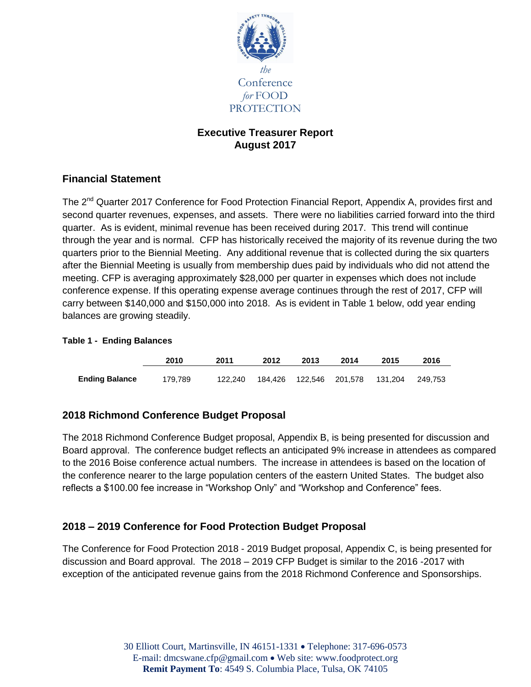

## **Executive Treasurer Report August 2017**

# **Financial Statement**

The 2<sup>nd</sup> Quarter 2017 Conference for Food Protection Financial Report, Appendix A, provides first and second quarter revenues, expenses, and assets. There were no liabilities carried forward into the third quarter. As is evident, minimal revenue has been received during 2017. This trend will continue through the year and is normal. CFP has historically received the majority of its revenue during the two quarters prior to the Biennial Meeting. Any additional revenue that is collected during the six quarters after the Biennial Meeting is usually from membership dues paid by individuals who did not attend the meeting. CFP is averaging approximately \$28,000 per quarter in expenses which does not include conference expense. If this operating expense average continues through the rest of 2017, CFP will carry between \$140,000 and \$150,000 into 2018. As is evident in Table 1 below, odd year ending balances are growing steadily.

|                       | 2010    | 2011    | 2012 | 2013                      | 2014 | 2015    | 2016    |
|-----------------------|---------|---------|------|---------------------------|------|---------|---------|
| <b>Ending Balance</b> | 179.789 | 122.240 |      | 184,426  122,546  201,578 |      | 131.204 | 249.753 |

#### **Table 1 - Ending Balances**

## **2018 Richmond Conference Budget Proposal**

The 2018 Richmond Conference Budget proposal, Appendix B, is being presented for discussion and Board approval. The conference budget reflects an anticipated 9% increase in attendees as compared to the 2016 Boise conference actual numbers. The increase in attendees is based on the location of the conference nearer to the large population centers of the eastern United States. The budget also reflects a \$100.00 fee increase in "Workshop Only" and "Workshop and Conference" fees.

## **2018 – 2019 Conference for Food Protection Budget Proposal**

The Conference for Food Protection 2018 - 2019 Budget proposal, Appendix C, is being presented for discussion and Board approval. The 2018 – 2019 CFP Budget is similar to the 2016 -2017 with exception of the anticipated revenue gains from the 2018 Richmond Conference and Sponsorships.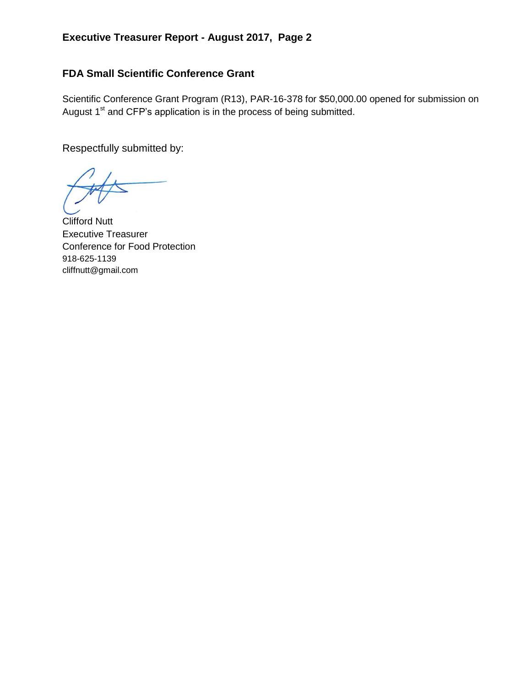# **FDA Small Scientific Conference Grant**

Scientific Conference Grant Program (R13), PAR-16-378 for \$50,000.00 opened for submission on August  $1<sup>st</sup>$  and CFP's application is in the process of being submitted.

Respectfully submitted by:

Clifford Nutt Executive Treasurer Conference for Food Protection 918-625-1139 cliffnutt@gmail.com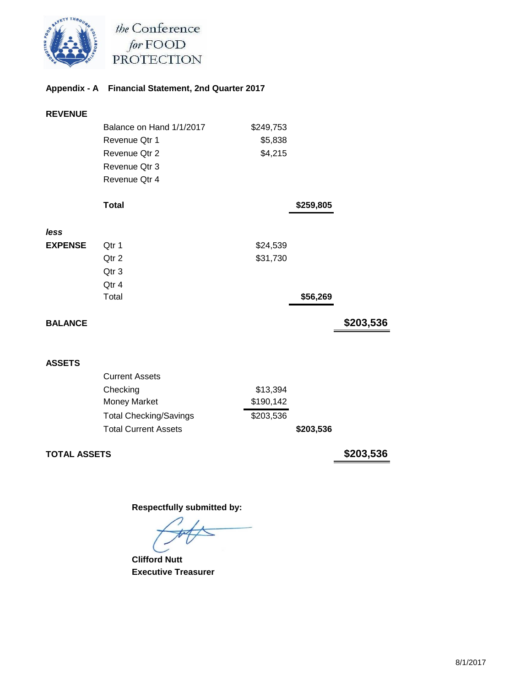

the Conference for FOOD<br>PROTECTION

### **Appendix - A Financial Statement, 2nd Quarter 2017**

| <b>REVENUE</b> |                               |           |           |           |
|----------------|-------------------------------|-----------|-----------|-----------|
|                | Balance on Hand 1/1/2017      | \$249,753 |           |           |
|                | Revenue Qtr 1                 | \$5,838   |           |           |
|                | Revenue Otr 2                 | \$4,215   |           |           |
|                | Revenue Otr 3                 |           |           |           |
|                | Revenue Otr 4                 |           |           |           |
|                | <b>Total</b>                  |           | \$259,805 |           |
| less           |                               |           |           |           |
| <b>EXPENSE</b> | Qtr 1                         | \$24,539  |           |           |
|                | Qtr 2                         | \$31,730  |           |           |
|                | Qtr 3                         |           |           |           |
|                | Qtr 4                         |           |           |           |
|                | Total                         |           | \$56,269  |           |
| <b>BALANCE</b> |                               |           |           | \$203,536 |
|                |                               |           |           |           |
| <b>ASSETS</b>  |                               |           |           |           |
|                | <b>Current Assets</b>         |           |           |           |
|                | Checking                      | \$13,394  |           |           |
|                | Money Market                  | \$190,142 |           |           |
|                | <b>Total Checking/Savings</b> | \$203,536 |           |           |
|                | <b>Total Current Assets</b>   |           | \$203,536 |           |

**TOTAL ASSETS \$203,536**

 **Respectfully submitted by:**

 **Clifford Nutt Executive Treasurer**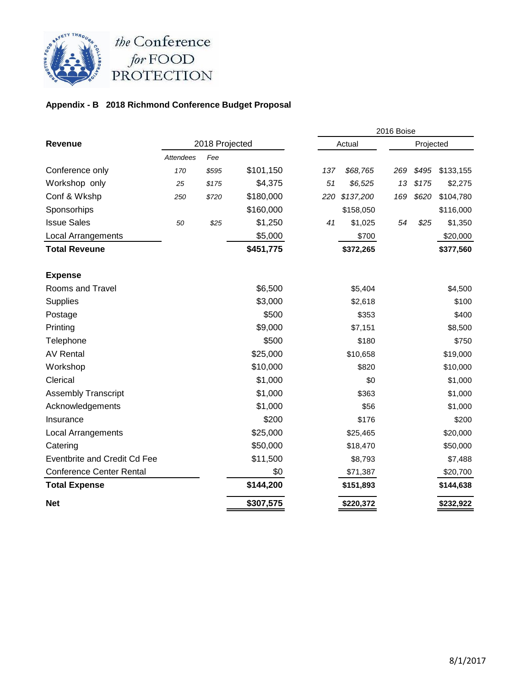

### **Appendix - B 2018 Richmond Conference Budget Proposal**

|                                     |                  |       |           |        | 2016 Boise |           |       |           |
|-------------------------------------|------------------|-------|-----------|--------|------------|-----------|-------|-----------|
| <b>Revenue</b>                      | 2018 Projected   |       |           | Actual |            | Projected |       |           |
|                                     | <b>Attendees</b> | Fee   |           |        |            |           |       |           |
| Conference only                     | 170              | \$595 | \$101,150 | 137    | \$68,765   | 269       | \$495 | \$133,155 |
| Workshop only                       | 25               | \$175 | \$4,375   | 51     | \$6,525    | 13        | \$175 | \$2,275   |
| Conf & Wkshp                        | 250              | \$720 | \$180,000 | 220    | \$137,200  | 169       | \$620 | \$104,780 |
| Sponsorhips                         |                  |       | \$160,000 |        | \$158,050  |           |       | \$116,000 |
| <b>Issue Sales</b>                  | 50               | \$25  | \$1,250   | 41     | \$1,025    | 54        | \$25  | \$1,350   |
| Local Arrangements                  |                  |       | \$5,000   |        | \$700      |           |       | \$20,000  |
| <b>Total Reveune</b>                |                  |       | \$451,775 |        | \$372,265  |           |       | \$377,560 |
| <b>Expense</b>                      |                  |       |           |        |            |           |       |           |
| Rooms and Travel                    |                  |       | \$6,500   |        | \$5,404    |           |       | \$4,500   |
| Supplies                            |                  |       | \$3,000   |        | \$2,618    |           |       | \$100     |
| Postage                             |                  |       | \$500     |        | \$353      |           |       | \$400     |
| Printing                            |                  |       | \$9,000   |        | \$7,151    |           |       | \$8,500   |
| Telephone                           |                  |       | \$500     |        | \$180      |           |       | \$750     |
| <b>AV Rental</b>                    |                  |       | \$25,000  |        | \$10,658   |           |       | \$19,000  |
| Workshop                            |                  |       | \$10,000  |        | \$820      |           |       | \$10,000  |
| Clerical                            |                  |       | \$1,000   |        | \$0        |           |       | \$1,000   |
| <b>Assembly Transcript</b>          |                  |       | \$1,000   |        | \$363      |           |       | \$1,000   |
| Acknowledgements                    |                  |       | \$1,000   |        | \$56       |           |       | \$1,000   |
| Insurance                           |                  |       | \$200     |        | \$176      |           |       | \$200     |
| <b>Local Arrangements</b>           |                  |       | \$25,000  |        | \$25,465   |           |       | \$20,000  |
| Catering                            |                  |       | \$50,000  |        | \$18,470   |           |       | \$50,000  |
| <b>Eventbrite and Credit Cd Fee</b> |                  |       | \$11,500  |        | \$8,793    |           |       | \$7,488   |
| <b>Conference Center Rental</b>     |                  |       | \$0       |        | \$71,387   |           |       | \$20,700  |
| <b>Total Expense</b>                |                  |       | \$144,200 |        | \$151,893  |           |       | \$144,638 |
| <b>Net</b>                          |                  |       | \$307,575 |        | \$220,372  |           |       | \$232,922 |